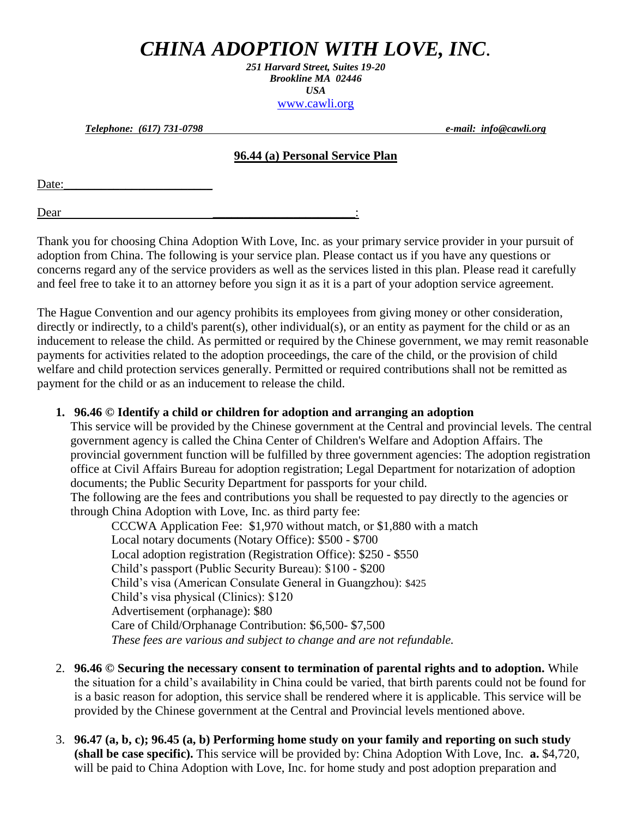# *CHINA ADOPTION WITH LOVE, INC.*

*251 Harvard Street, Suites 19-20 Brookline MA 02446 USA* [www.cawli.org](http://www.chinaadoption.org/)

*Telephone: (617) 731-0798 e-mail: info@cawli.org*

#### **96.44 (a) Personal Service Plan**

Date:

Dear <u>\_\_\_\_\_\_\_\_\_\_\_\_\_\_\_\_\_\_</u>:

Thank you for choosing China Adoption With Love, Inc. as your primary service provider in your pursuit of adoption from China. The following is your service plan. Please contact us if you have any questions or concerns regard any of the service providers as well as the services listed in this plan. Please read it carefully and feel free to take it to an attorney before you sign it as it is a part of your adoption service agreement.

The Hague Convention and our agency prohibits its employees from giving money or other consideration, directly or indirectly, to a child's parent(s), other individual(s), or an entity as payment for the child or as an inducement to release the child. As permitted or required by the Chinese government, we may remit reasonable payments for activities related to the adoption proceedings, the care of the child, or the provision of child welfare and child protection services generally. Permitted or required contributions shall not be remitted as payment for the child or as an inducement to release the child.

### **1. 96.46 © Identify a child or children for adoption and arranging an adoption**

This service will be provided by the Chinese government at the Central and provincial levels. The central government agency is called the China Center of Children's Welfare and Adoption Affairs. The provincial government function will be fulfilled by three government agencies: The adoption registration office at Civil Affairs Bureau for adoption registration; Legal Department for notarization of adoption documents; the Public Security Department for passports for your child. The following are the fees and contributions you shall be requested to pay directly to the agencies or

through China Adoption with Love, Inc. as third party fee:

CCCWA Application Fee: \$1,970 without match, or \$1,880 with a match Local notary documents (Notary Office): \$500 - \$700 Local adoption registration (Registration Office): \$250 - \$550 Child's passport (Public Security Bureau): \$100 - \$200 Child's visa (American Consulate General in Guangzhou): \$425 Child's visa physical (Clinics): \$120 Advertisement (orphanage): \$80 Care of Child/Orphanage Contribution: \$6,500- \$7,500 *These fees are various and subject to change and are not refundable.*

- 2. **96.46 © Securing the necessary consent to termination of parental rights and to adoption.** While the situation for a child's availability in China could be varied, that birth parents could not be found for is a basic reason for adoption, this service shall be rendered where it is applicable. This service will be provided by the Chinese government at the Central and Provincial levels mentioned above.
- 3. **96.47 (a, b, c); 96.45 (a, b) Performing home study on your family and reporting on such study (shall be case specific).** This service will be provided by: China Adoption With Love, Inc. **a.** \$4,720, will be paid to China Adoption with Love, Inc. for home study and post adoption preparation and